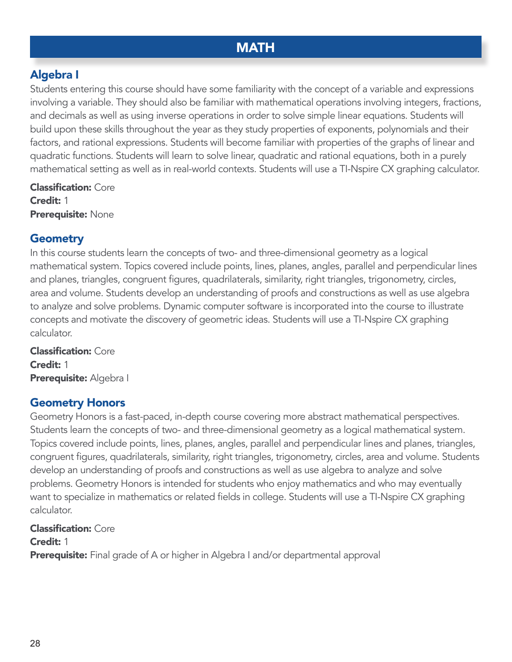# **MATH**

# Algebra I

Students entering this course should have some familiarity with the concept of a variable and expressions involving a variable. They should also be familiar with mathematical operations involving integers, fractions, and decimals as well as using inverse operations in order to solve simple linear equations. Students will build upon these skills throughout the year as they study properties of exponents, polynomials and their factors, and rational expressions. Students will become familiar with properties of the graphs of linear and quadratic functions. Students will learn to solve linear, quadratic and rational equations, both in a purely mathematical setting as well as in real-world contexts. Students will use a TI-Nspire CX graphing calculator.

Classification: Core Credit: 1 Prerequisite: None

## **Geometry**

In this course students learn the concepts of two- and three-dimensional geometry as a logical mathematical system. Topics covered include points, lines, planes, angles, parallel and perpendicular lines and planes, triangles, congruent figures, quadrilaterals, similarity, right triangles, trigonometry, circles, area and volume. Students develop an understanding of proofs and constructions as well as use algebra to analyze and solve problems. Dynamic computer software is incorporated into the course to illustrate concepts and motivate the discovery of geometric ideas. Students will use a TI-Nspire CX graphing calculator.

Classification: Core Credit: 1 Prerequisite: Algebra I

## Geometry Honors

Geometry Honors is a fast-paced, in-depth course covering more abstract mathematical perspectives. Students learn the concepts of two- and three-dimensional geometry as a logical mathematical system. Topics covered include points, lines, planes, angles, parallel and perpendicular lines and planes, triangles, congruent figures, quadrilaterals, similarity, right triangles, trigonometry, circles, area and volume. Students develop an understanding of proofs and constructions as well as use algebra to analyze and solve problems. Geometry Honors is intended for students who enjoy mathematics and who may eventually want to specialize in mathematics or related fields in college. Students will use a TI-Nspire CX graphing calculator.

**Classification: Core** 

Credit: 1

**Prerequisite:** Final grade of A or higher in Algebra I and/or departmental approval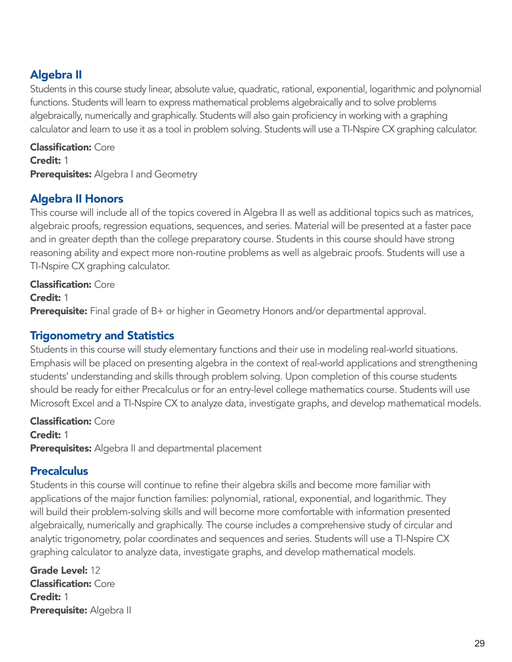# Algebra II

Students in this course study linear, absolute value, quadratic, rational, exponential, logarithmic and polynomial functions. Students will learn to express mathematical problems algebraically and to solve problems algebraically, numerically and graphically. Students will also gain proficiency in working with a graphing calculator and learn to use it as a tool in problem solving. Students will use a TI-Nspire CX graphing calculator.

Classification: Core Credit: 1 **Prerequisites:** Algebra I and Geometry

# Algebra II Honors

This course will include all of the topics covered in Algebra II as well as additional topics such as matrices, algebraic proofs, regression equations, sequences, and series. Material will be presented at a faster pace and in greater depth than the college preparatory course. Students in this course should have strong reasoning ability and expect more non-routine problems as well as algebraic proofs. Students will use a TI-Nspire CX graphing calculator.

#### Classification: Core

Credit: 1

Prerequisite: Final grade of B+ or higher in Geometry Honors and/or departmental approval.

## Trigonometry and Statistics

Students in this course will study elementary functions and their use in modeling real-world situations. Emphasis will be placed on presenting algebra in the context of real-world applications and strengthening students' understanding and skills through problem solving. Upon completion of this course students should be ready for either Precalculus or for an entry-level college mathematics course. Students will use Microsoft Excel and a TI-Nspire CX to analyze data, investigate graphs, and develop mathematical models.

Classification: Core Credit: 1 Prerequisites: Algebra II and departmental placement

## **Precalculus**

Students in this course will continue to refine their algebra skills and become more familiar with applications of the major function families: polynomial, rational, exponential, and logarithmic. They will build their problem-solving skills and will become more comfortable with information presented algebraically, numerically and graphically. The course includes a comprehensive study of circular and analytic trigonometry, polar coordinates and sequences and series. Students will use a TI-Nspire CX graphing calculator to analyze data, investigate graphs, and develop mathematical models.

Grade Level: 12 Classification: Core Credit: 1 Prerequisite: Algebra II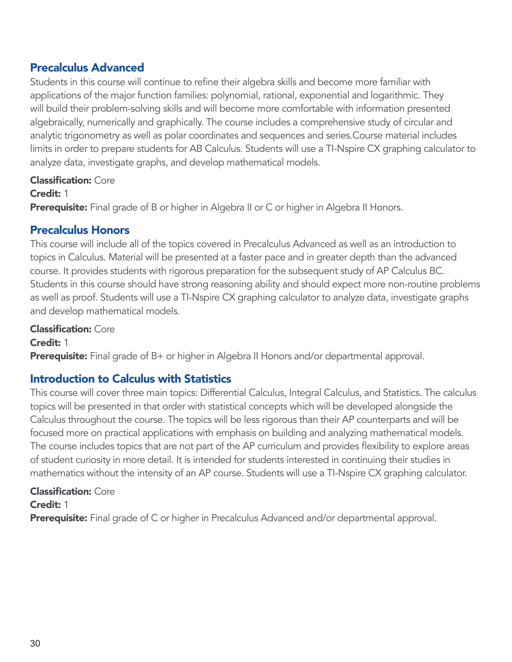### Precalculus Advanced

Students in this course will continue to refine their algebra skills and become more familiar with applications of the major function families: polynomial, rational, exponential and logarithmic. They will build their problem-solving skills and will become more comfortable with information presented algebraically, numerically and graphically. The course includes a comprehensive study of circular and analytic trigonometry as well as polar coordinates and sequences and series.Course material includes limits in order to prepare students for AB Calculus. Students will use a TI-Nspire CX graphing calculator to analyze data, investigate graphs, and develop mathematical models.

#### Classification: Core

#### Credit: 1

Prerequisite: Final grade of B or higher in Algebra II or C or higher in Algebra II Honors.

#### Precalculus Honors

This course will include all of the topics covered in Precalculus Advanced as well as an introduction to topics in Calculus. Material will be presented at a faster pace and in greater depth than the advanced course. It provides students with rigorous preparation for the subsequent study of AP Calculus BC. Students in this course should have strong reasoning ability and should expect more non-routine problems as well as proof. Students will use a TI-Nspire CX graphing calculator to analyze data, investigate graphs and develop mathematical models.

#### Classification: Core

Credit: 1 **Prerequisite:** Final grade of B+ or higher in Algebra II Honors and/or departmental approval.

## Introduction to Calculus with Statistics

This course will cover three main topics: Differential Calculus, Integral Calculus, and Statistics. The calculus topics will be presented in that order with statistical concepts which will be developed alongside the Calculus throughout the course. The topics will be less rigorous than their AP counterparts and will be focused more on practical applications with emphasis on building and analyzing mathematical models. The course includes topics that are not part of the AP curriculum and provides flexibility to explore areas of student curiosity in more detail. It is intended for students interested in continuing their studies in mathematics without the intensity of an AP course. Students will use a TI-Nspire CX graphing calculator.

#### Classification: Core

Credit: 1

**Prerequisite:** Final grade of C or higher in Precalculus Advanced and/or departmental approval.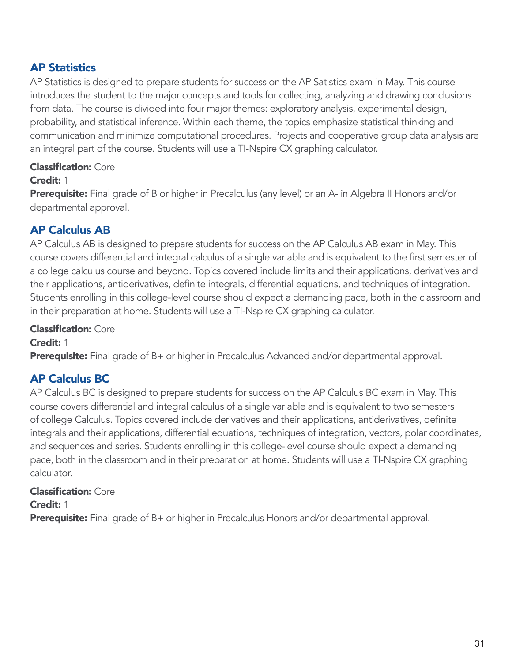## AP Statistics

AP Statistics is designed to prepare students for success on the AP Satistics exam in May. This course introduces the student to the major concepts and tools for collecting, analyzing and drawing conclusions from data. The course is divided into four major themes: exploratory analysis, experimental design, probability, and statistical inference. Within each theme, the topics emphasize statistical thinking and communication and minimize computational procedures. Projects and cooperative group data analysis are an integral part of the course. Students will use a TI-Nspire CX graphing calculator.

#### Classification: Core

#### Credit: 1

**Prerequisite:** Final grade of B or higher in Precalculus (any level) or an A- in Algebra II Honors and/or departmental approval.

# AP Calculus AB

AP Calculus AB is designed to prepare students for success on the AP Calculus AB exam in May. This course covers differential and integral calculus of a single variable and is equivalent to the first semester of a college calculus course and beyond. Topics covered include limits and their applications, derivatives and their applications, antiderivatives, definite integrals, differential equations, and techniques of integration. Students enrolling in this college-level course should expect a demanding pace, both in the classroom and in their preparation at home. Students will use a TI-Nspire CX graphing calculator.

#### Classification: Core

Credit: 1 **Prerequisite:** Final grade of B+ or higher in Precalculus Advanced and/or departmental approval.

# AP Calculus BC

AP Calculus BC is designed to prepare students for success on the AP Calculus BC exam in May. This course covers differential and integral calculus of a single variable and is equivalent to two semesters of college Calculus. Topics covered include derivatives and their applications, antiderivatives, definite integrals and their applications, differential equations, techniques of integration, vectors, polar coordinates, and sequences and series. Students enrolling in this college-level course should expect a demanding pace, both in the classroom and in their preparation at home. Students will use a TI-Nspire CX graphing calculator.

#### Classification: Core

Credit: 1

**Prerequisite:** Final grade of B+ or higher in Precalculus Honors and/or departmental approval.